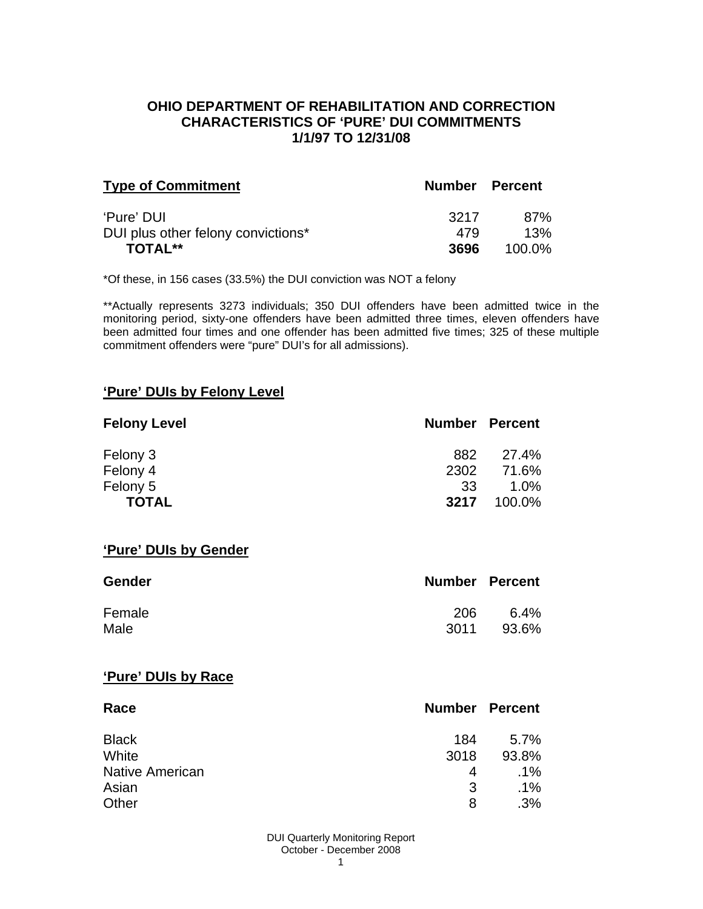### **OHIO DEPARTMENT OF REHABILITATION AND CORRECTION CHARACTERISTICS OF 'PURE' DUI COMMITMENTS 1/1/97 TO 12/31/08**

| <b>Type of Commitment</b>          | Number Percent |           |
|------------------------------------|----------------|-----------|
| 'Pure' DUI                         | 3217           | 87%       |
| DUI plus other felony convictions* | 479            | 13%       |
| TOTAL**                            | 3696           | $100.0\%$ |

\*Of these, in 156 cases (33.5%) the DUI conviction was NOT a felony

\*\*Actually represents 3273 individuals; 350 DUI offenders have been admitted twice in the monitoring period, sixty-one offenders have been admitted three times, eleven offenders have been admitted four times and one offender has been admitted five times; 325 of these multiple commitment offenders were "pure" DUI's for all admissions).

#### **'Pure' DUIs by Felony Level**

| <b>Felony Level</b> | <b>Number Percent</b> |         |
|---------------------|-----------------------|---------|
| Felony 3            | 882                   | 27.4%   |
| Felony 4            | 2302                  | 71.6%   |
| Felony 5            | -33                   | $1.0\%$ |
| <b>TOTAL</b>        | 3217                  | 100.0%  |

#### **'Pure' DUIs by Gender**

| <b>Gender</b> | <b>Number Percent</b> |         |
|---------------|-----------------------|---------|
| Female        | 206                   | $6.4\%$ |
| Male          | 3011                  | 93.6%   |

#### **'Pure' DUIs by Race**

| Race                   | Number | <b>Percent</b> |
|------------------------|--------|----------------|
| <b>Black</b>           | 184    | $5.7\%$        |
| White                  | 3018   | 93.8%          |
| <b>Native American</b> | 4      | .1%            |
| Asian                  | 3      | $.1\%$         |
| Other                  | 8      | .3%            |

DUI Quarterly Monitoring Report October - December 2008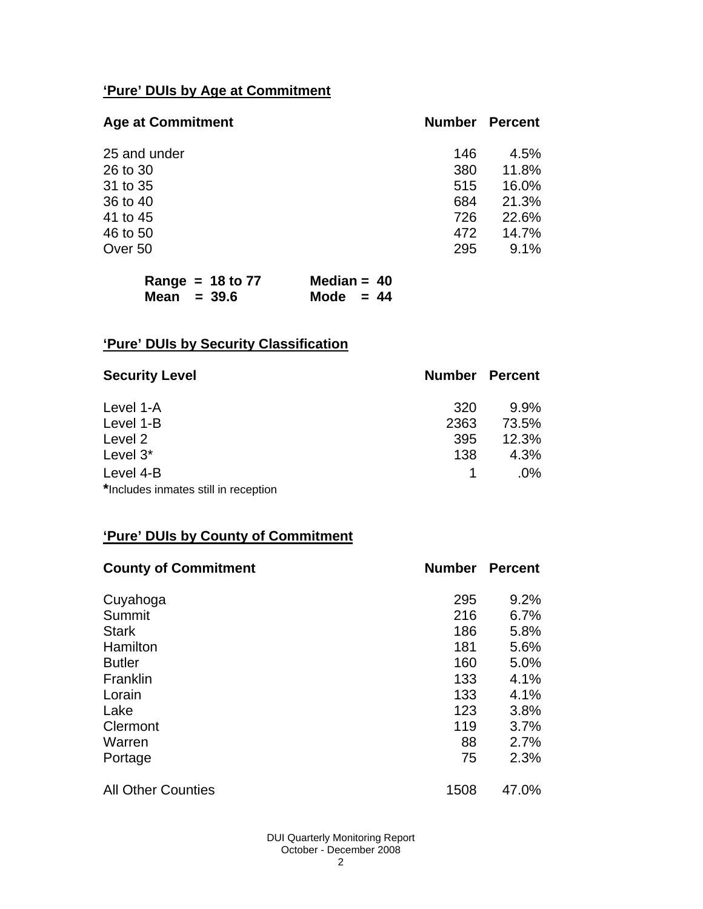# **'Pure' DUIs by Age at Commitment**

| <b>Age at Commitment</b> | <b>Number</b> | <b>Percent</b> |
|--------------------------|---------------|----------------|
| 25 and under             | 146           | 4.5%           |
| 26 to 30                 | 380           | 11.8%          |
| 31 to 35                 | 515           | 16.0%          |
| 36 to 40                 | 684           | 21.3%          |
| 41 to 45                 | 726           | 22.6%          |
| 46 to 50                 | 472           | 14.7%          |
| Over 50                  | 295           | 9.1%           |

|               | Range = $18$ to 77 | Median = $40$ |  |
|---------------|--------------------|---------------|--|
| Mean $=$ 39.6 |                    | Mode $= 44$   |  |

# **'Pure' DUIs by Security Classification**

| <b>Security Level</b>                | <b>Number Percent</b> |        |
|--------------------------------------|-----------------------|--------|
| Level 1-A                            | 320                   | 9.9%   |
| Level 1-B                            | 2363                  | 73.5%  |
| Level 2                              | 395                   | 12.3%  |
| Level 3*                             | 138                   | 4.3%   |
| Level 4-B                            |                       | $.0\%$ |
| *Includes inmates still in reception |                       |        |

# **'Pure' DUIs by County of Commitment**

| <b>County of Commitment</b> | <b>Number</b> | <b>Percent</b> |
|-----------------------------|---------------|----------------|
| Cuyahoga                    | 295           | 9.2%           |
| Summit                      | 216           | 6.7%           |
| <b>Stark</b>                | 186           | 5.8%           |
| Hamilton                    | 181           | 5.6%           |
| <b>Butler</b>               | 160           | 5.0%           |
| Franklin                    | 133           | 4.1%           |
| Lorain                      | 133           | 4.1%           |
| Lake                        | 123           | 3.8%           |
| Clermont                    | 119           | 3.7%           |
| Warren                      | 88            | 2.7%           |
| Portage                     | 75            | 2.3%           |
| <b>All Other Counties</b>   | 1508          | 47.0%          |

DUI Quarterly Monitoring Report October - December 2008 2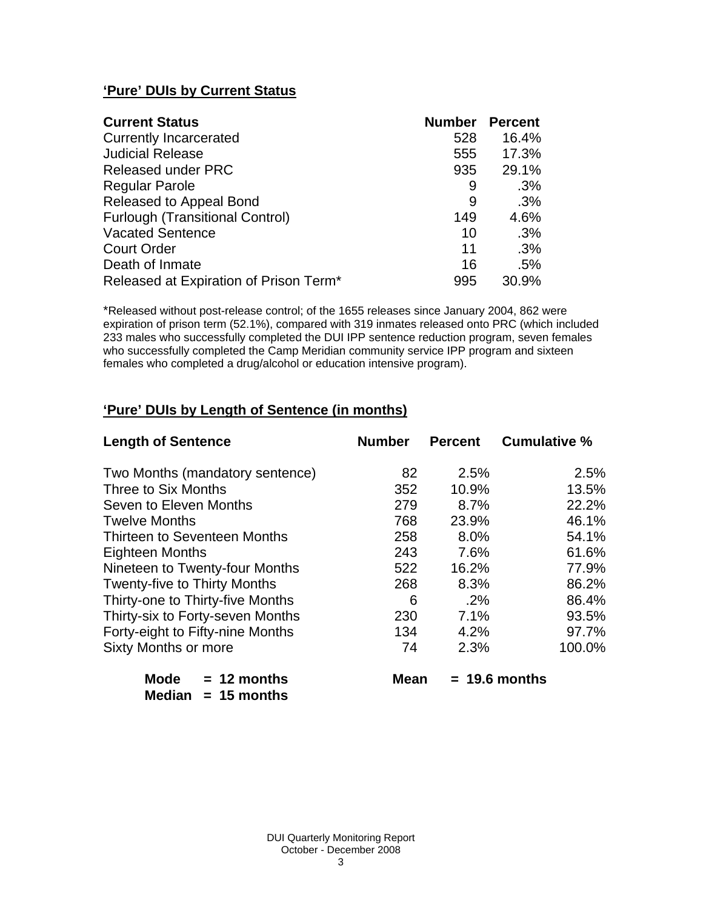# **'Pure' DUIs by Current Status**

| <b>Current Status</b>                  | <b>Number</b> | Percent |
|----------------------------------------|---------------|---------|
| <b>Currently Incarcerated</b>          | 528           | 16.4%   |
| <b>Judicial Release</b>                | 555           | 17.3%   |
| Released under PRC                     | 935           | 29.1%   |
| <b>Regular Parole</b>                  | 9             | .3%     |
| Released to Appeal Bond                | 9             | .3%     |
| <b>Furlough (Transitional Control)</b> | 149           | 4.6%    |
| <b>Vacated Sentence</b>                | 10            | .3%     |
| <b>Court Order</b>                     | 11            | .3%     |
| Death of Inmate                        | 16            | .5%     |
| Released at Expiration of Prison Term* | 995           | 30.9%   |

\*Released without post-release control; of the 1655 releases since January 2004, 862 were expiration of prison term (52.1%), compared with 319 inmates released onto PRC (which included 233 males who successfully completed the DUI IPP sentence reduction program, seven females who successfully completed the Camp Meridian community service IPP program and sixteen females who completed a drug/alcohol or education intensive program).

# **'Pure' DUIs by Length of Sentence (in months)**

| <b>Length of Sentence</b>           | <b>Number</b> | <b>Percent</b> | <b>Cumulative %</b> |
|-------------------------------------|---------------|----------------|---------------------|
| Two Months (mandatory sentence)     | 82            | 2.5%           | 2.5%                |
| Three to Six Months                 | 352           | 10.9%          | 13.5%               |
| Seven to Eleven Months              | 279           | 8.7%           | 22.2%               |
| <b>Twelve Months</b>                | 768           | 23.9%          | 46.1%               |
| Thirteen to Seventeen Months        | 258           | 8.0%           | 54.1%               |
| <b>Eighteen Months</b>              | 243           | 7.6%           | 61.6%               |
| Nineteen to Twenty-four Months      | 522           | 16.2%          | 77.9%               |
| <b>Twenty-five to Thirty Months</b> | 268           | 8.3%           | 86.2%               |
| Thirty-one to Thirty-five Months    | 6             | $.2\%$         | 86.4%               |
| Thirty-six to Forty-seven Months    | 230           | 7.1%           | 93.5%               |
| Forty-eight to Fifty-nine Months    | 134           | 4.2%           | 97.7%               |
| <b>Sixty Months or more</b>         | 74            | 2.3%           | 100.0%              |
|                                     |               |                |                     |

| <b>NOCIE</b> | $= 12$ months |
|--------------|---------------|
| Median       | $= 15$ months |

**Mean = 19.6 months**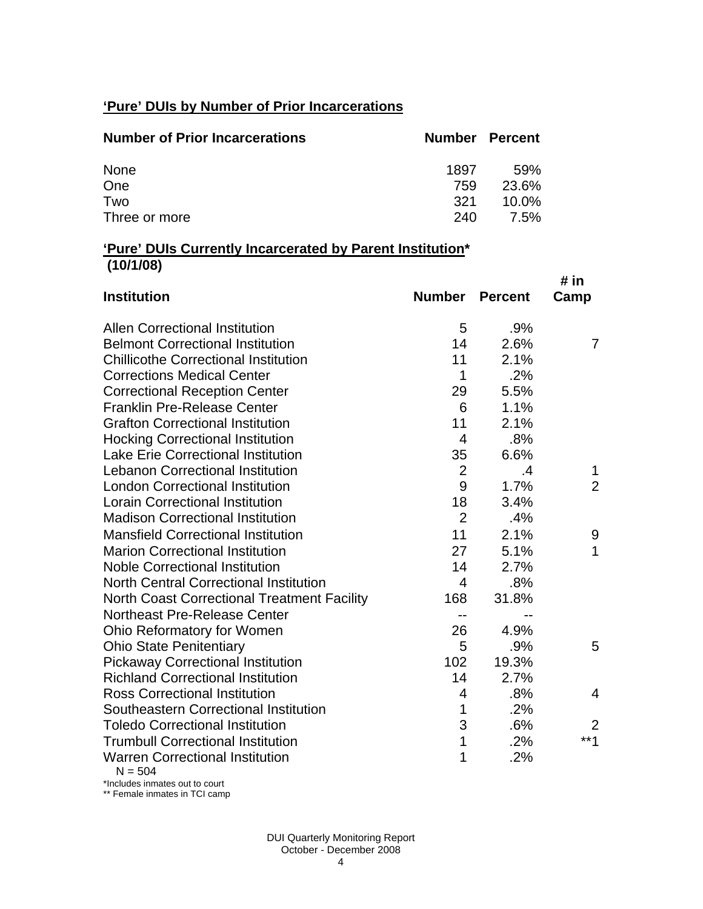# **'Pure' DUIs by Number of Prior Incarcerations**

| <b>Number of Prior Incarcerations</b> |      | <b>Number Percent</b> |
|---------------------------------------|------|-----------------------|
| None                                  | 1897 | .59%                  |
| One                                   | 759  | 23.6%                 |
| Two                                   | 321  | $10.0\%$              |
| Three or more                         | 240  | 7.5%                  |

# **'Pure' DUIs Currently Incarcerated by Parent Institution\* (10/1/08)**

| <b>Institution</b>                                  | <b>Number</b>  | <b>Percent</b> | # in<br>Camp   |
|-----------------------------------------------------|----------------|----------------|----------------|
|                                                     |                |                |                |
| <b>Allen Correctional Institution</b>               | 5              | .9%            |                |
| <b>Belmont Correctional Institution</b>             | 14             | 2.6%           | $\overline{7}$ |
| <b>Chillicothe Correctional Institution</b>         | 11             | 2.1%           |                |
| <b>Corrections Medical Center</b>                   | 1              | .2%            |                |
| <b>Correctional Reception Center</b>                | 29             | 5.5%           |                |
| <b>Franklin Pre-Release Center</b>                  | 6              | 1.1%           |                |
| <b>Grafton Correctional Institution</b>             | 11             | 2.1%           |                |
| <b>Hocking Correctional Institution</b>             | $\overline{4}$ | .8%            |                |
| <b>Lake Erie Correctional Institution</b>           | 35             | 6.6%           |                |
| <b>Lebanon Correctional Institution</b>             | $\overline{2}$ | .4             | 1              |
| <b>London Correctional Institution</b>              | 9              | 1.7%           | $\overline{2}$ |
| <b>Lorain Correctional Institution</b>              | 18             | 3.4%           |                |
| <b>Madison Correctional Institution</b>             | $\overline{2}$ | .4%            |                |
| <b>Mansfield Correctional Institution</b>           | 11             | 2.1%           | 9              |
| <b>Marion Correctional Institution</b>              | 27             | 5.1%           | 1              |
| <b>Noble Correctional Institution</b>               | 14             | 2.7%           |                |
| <b>North Central Correctional Institution</b>       | 4              | .8%            |                |
| <b>North Coast Correctional Treatment Facility</b>  | 168            | 31.8%          |                |
| Northeast Pre-Release Center                        | --             |                |                |
| Ohio Reformatory for Women                          | 26             | 4.9%           |                |
| <b>Ohio State Penitentiary</b>                      | 5              | .9%            | 5              |
| <b>Pickaway Correctional Institution</b>            | 102            | 19.3%          |                |
| <b>Richland Correctional Institution</b>            | 14             | 2.7%           |                |
| <b>Ross Correctional Institution</b>                | 4              | .8%            | 4              |
| Southeastern Correctional Institution               | 1              | .2%            |                |
| <b>Toledo Correctional Institution</b>              | 3              | .6%            | $\overline{2}$ |
| <b>Trumbull Correctional Institution</b>            | 1              | .2%            | $***1$         |
| <b>Warren Correctional Institution</b><br>$N = 504$ | 1              | .2%            |                |

\*Includes inmates out to court \*\* Female inmates in TCI camp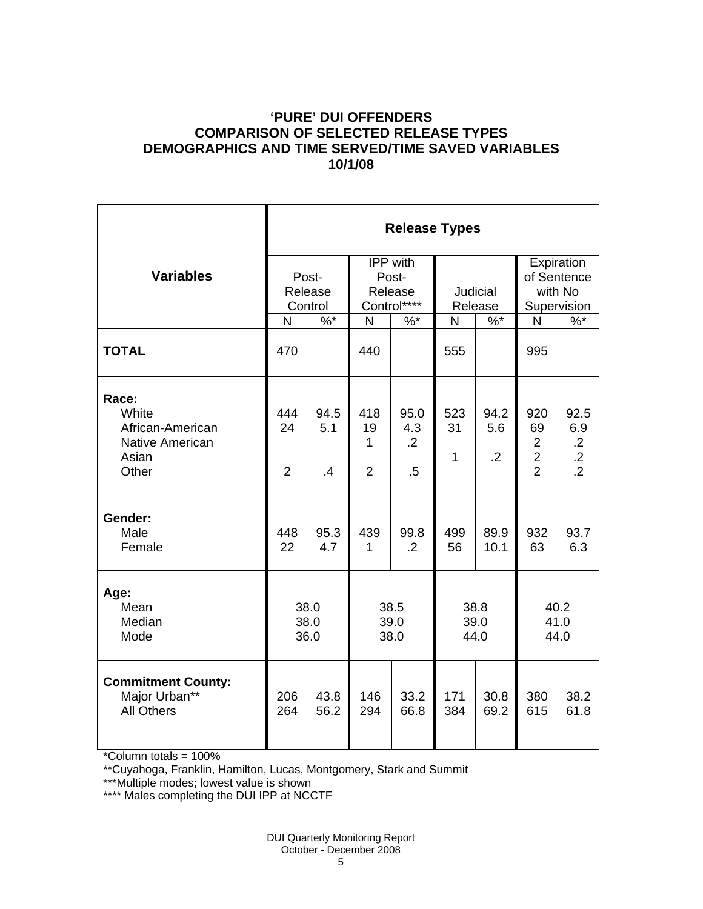### **'PURE' DUI OFFENDERS COMPARISON OF SELECTED RELEASE TYPES DEMOGRAPHICS AND TIME SERVED/TIME SAVED VARIABLES 10/1/08**

|                                                                         | <b>Release Types</b>        |                                |                                             |                                         |                            |                               |                                                                 |                                                  |  |
|-------------------------------------------------------------------------|-----------------------------|--------------------------------|---------------------------------------------|-----------------------------------------|----------------------------|-------------------------------|-----------------------------------------------------------------|--------------------------------------------------|--|
| <b>Variables</b>                                                        | Post-<br>Release<br>Control |                                | IPP with<br>Post-<br>Release<br>Control**** |                                         | <b>Judicial</b><br>Release |                               | Expiration<br>of Sentence<br>with No<br>Supervision             |                                                  |  |
|                                                                         | N                           | $%^*$                          | $\mathsf{N}$                                | $%$ *                                   | N                          | $%^*$                         | N                                                               | $\frac{9}{6}$                                    |  |
| <b>TOTAL</b>                                                            | 470                         |                                | 440                                         |                                         | 555                        |                               | 995                                                             |                                                  |  |
| Race:<br>White<br>African-American<br>Native American<br>Asian<br>Other | 444<br>24<br>$\overline{2}$ | 94.5<br>5.1<br>$\overline{.4}$ | 418<br>19<br>1<br>$\overline{2}$            | 95.0<br>4.3<br>$\overline{2}$<br>$.5\,$ | 523<br>31<br>1             | 94.2<br>5.6<br>$\overline{2}$ | 920<br>69<br>$\overline{2}$<br>$\overline{c}$<br>$\overline{2}$ | 92.5<br>6.9<br>$\frac{.2}{.2}$<br>$\overline{2}$ |  |
| Gender:<br>Male<br>Female                                               | 448<br>22                   | 95.3<br>4.7                    | 439<br>1                                    | 99.8<br>$\cdot$ .2                      | 499<br>56                  | 89.9<br>10.1                  | 932<br>63                                                       | 93.7<br>6.3                                      |  |
| Age:<br>Mean<br>Median<br>Mode                                          | 38.0<br>38.0<br>36.0        |                                | 38.5<br>39.0<br>38.0                        |                                         | 38.8<br>39.0<br>44.0       |                               | 40.2<br>41.0<br>44.0                                            |                                                  |  |
| <b>Commitment County:</b><br>Major Urban**<br><b>All Others</b>         | 206<br>264                  | 43.8<br>56.2                   | 146<br>294                                  | 33.2<br>66.8                            | 171<br>384                 | 30.8<br>69.2                  | 380<br>615                                                      | 38.2<br>61.8                                     |  |

\*Column totals = 100%

\*\*Cuyahoga, Franklin, Hamilton, Lucas, Montgomery, Stark and Summit

\*\*\*Multiple modes; lowest value is shown

\*\*\*\* Males completing the DUI IPP at NCCTF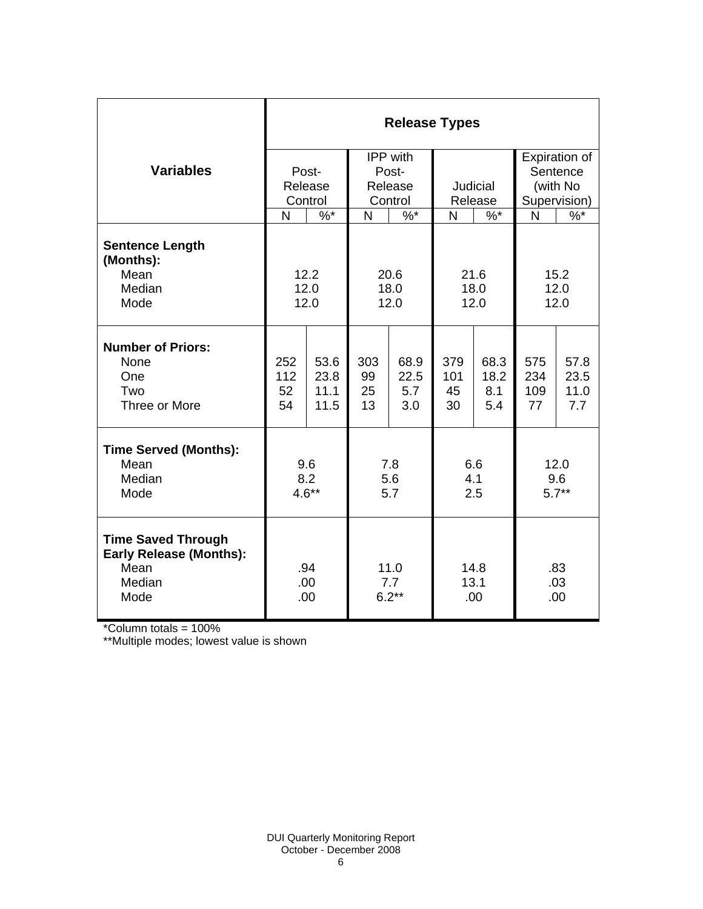|                                                                                       | <b>Release Types</b>   |                              |                             |                            |                        |                            |                         |                             |  |  |
|---------------------------------------------------------------------------------------|------------------------|------------------------------|-----------------------------|----------------------------|------------------------|----------------------------|-------------------------|-----------------------------|--|--|
|                                                                                       |                        |                              | IPP with                    |                            |                        |                            | Expiration of           |                             |  |  |
| <b>Variables</b>                                                                      |                        | Post-                        | Post-<br>Release<br>Control |                            |                        |                            |                         | Sentence                    |  |  |
|                                                                                       |                        | Release                      |                             |                            | Judicial<br>Release    |                            | (with No                |                             |  |  |
|                                                                                       |                        | Control                      |                             |                            |                        |                            | Supervision)            |                             |  |  |
|                                                                                       | N                      | $\%$ *                       | N                           | $\%$ *                     | N                      | $\%$ *                     | N                       | $\%$                        |  |  |
| <b>Sentence Length</b><br>(Months):                                                   |                        |                              |                             |                            |                        |                            |                         |                             |  |  |
| Mean<br>Median                                                                        |                        | 12.2                         | 20.6                        |                            | 21.6                   |                            | 15.2<br>12.0            |                             |  |  |
| Mode                                                                                  | 12.0                   |                              | 18.0<br>12.0                |                            | 18.0<br>12.0           |                            | 12.0                    |                             |  |  |
|                                                                                       |                        | 12.0                         |                             |                            |                        |                            |                         |                             |  |  |
| <b>Number of Priors:</b><br>None<br>One<br>Two<br>Three or More                       | 252<br>112<br>52<br>54 | 53.6<br>23.8<br>11.1<br>11.5 | 303<br>99<br>25<br>13       | 68.9<br>22.5<br>5.7<br>3.0 | 379<br>101<br>45<br>30 | 68.3<br>18.2<br>8.1<br>5.4 | 575<br>234<br>109<br>77 | 57.8<br>23.5<br>11.0<br>7.7 |  |  |
| <b>Time Served (Months):</b><br>Mean<br>Median<br>Mode                                | 9.6<br>8.2<br>$4.6**$  |                              | 7.8<br>5.6<br>5.7           |                            | 6.6<br>4.1<br>2.5      |                            | 12.0<br>9.6<br>$5.7**$  |                             |  |  |
| <b>Time Saved Through</b><br><b>Early Release (Months):</b><br>Mean<br>Median<br>Mode | .94<br>.00<br>.00      |                              | 11.0<br>7.7<br>$6.2**$      |                            | 14.8<br>13.1<br>.00    |                            | .83<br>.03<br>.00       |                             |  |  |

\*Column totals = 100%

\*\*Multiple modes; lowest value is shown